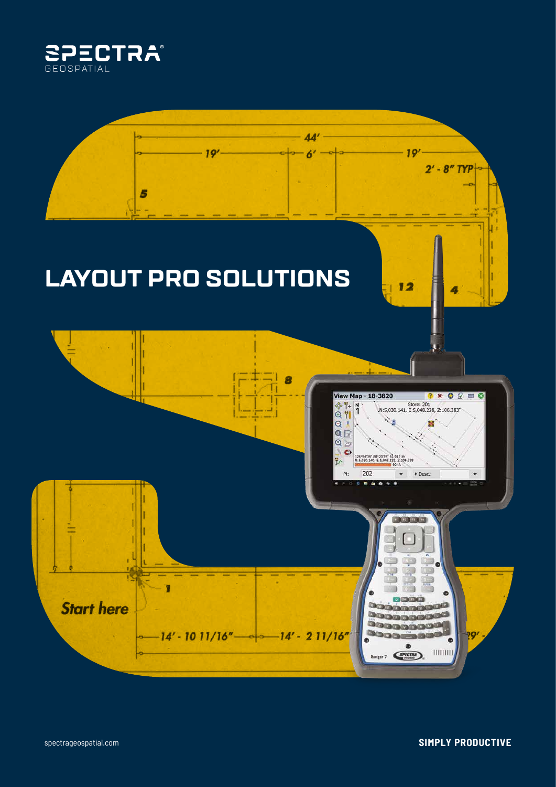

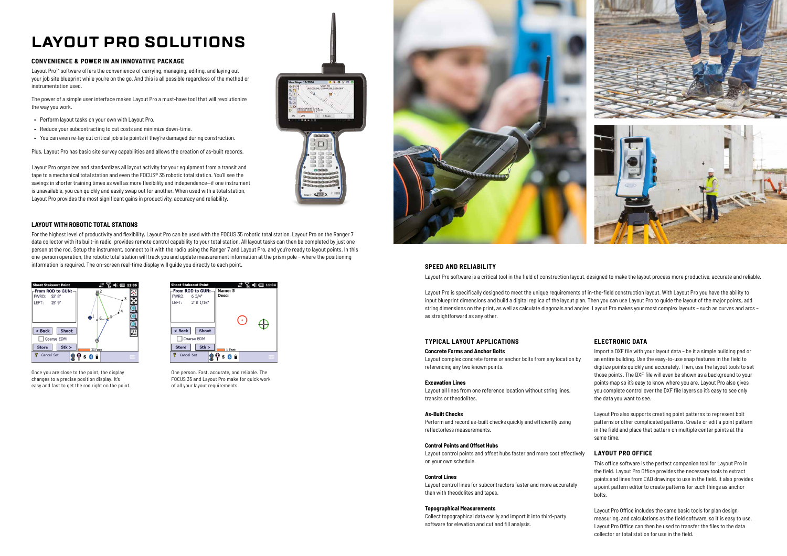# **LAYOUT PRO SOLUTIONS**

# **CONVENIENCE & POWER IN AN INNOVATIVE PACKAGE**

Layout Pro™ software offers the convenience of carrying, managing, editing, and laying out your job site blueprint while you're on the go. And this is all possible regardless of the method or instrumentation used.

The power of a simple user interface makes Layout Pro a must-have tool that will revolutionize the way you work.

- Perform layout tasks on your own with Layout Pro.
- Reduce your subcontracting to cut costs and minimize down-time.
- You can even re-lay out critical job site points if they're damaged during construction.

Plus, Layout Pro has basic site survey capabilities and allows the creation of as-built records.

Layout Pro organizes and standardizes all layout activity for your equipment from a transit and tape to a mechanical total station and even the FOCUS® 35 robotic total station. You'll see the savings in shorter training times as well as more flexibility and independence—if one instrument is unavailable, you can quickly and easily swap out for another. When used with a total station, Layout Pro provides the most significant gains in productivity, accuracy and reliability.



## **SPEED AND RELIABILITY**

Layout Pro software is a critical tool in the field of construction layout, designed to make the layout process more productive, accurate and reliable.

Layout Pro is specifically designed to meet the unique requirements of in-the-field construction layout. With Layout Pro you have the ability to input blueprint dimensions and build a digital replica of the layout plan. Then you can use Layout Pro to guide the layout of the major points, add string dimensions on the print, as well as calculate diagonals and angles. Layout Pro makes your most complex layouts – such as curves and arcs – as straightforward as any other.

# **TYPICAL LAYOUT APPLICATIONS**

#### **Concrete Forms and Anchor Bolts**

Layout complex concrete forms or anchor bolts from any location by referencing any two known points.

#### **Excavation Lines**

Layout all lines from one reference location without string lines, transits or theodolites.

#### **As-Built Checks**

Perform and record as-built checks quickly and efficiently using reflectorless measurements.

#### **Control Points and Offset Hubs**

Layout control points and offset hubs faster and more cost effectively on your own schedule.

#### **Control Lines**

Layout control lines for subcontractors faster and more accurately than with theodolites and tapes.

# **Topographical Measurements**

Collect topographical data easily and import it into third-party software for elevation and cut and fill analysis.

# **ELECTRONIC DATA**

Import a DXF file with your layout data – be it a simple building pad or an entire building. Use the easy-to-use snap features in the field to digitize points quickly and accurately. Then, use the layout tools to set those points. The DXF file will even be shown as a background to your points map so it's easy to know where you are. Layout Pro also gives you complete control over the DXF file layers so it's easy to see only the data you want to see.

Layout Pro also supports creating point patterns to represent bolt patterns or other complicated patterns. Create or edit a point pattern in the field and place that pattern on multiple center points at the same time.

# **LAYOUT PRO OFFICE**

This office software is the perfect companion tool for Layout Pro in the field. Layout Pro Office provides the necessary tools to extract points and lines from CAD drawings to use in the field. It also provides a point pattern editor to create patterns for such things as anchor bolts.

Layout Pro Office includes the same basic tools for plan design, measuring, and calculations as the field software, so it is easy to use. Layout Pro Office can then be used to transfer the files to the data collector or total station for use in the field.

# **LAYOUT WITH ROBOTIC TOTAL STATIONS**

For the highest level of productivity and flexibility, Layout Pro can be used with the FOCUS 35 robotic total station. Layout Pro on the Ranger 7 data collector with its built-in radio, provides remote control capability to your total station. All layout tasks can then be completed by just one person at the rod. Setup the instrument, connect to it with the radio using the Ranger 7 and Layout Pro, and you're ready to layout points. In this one-person operation, the robotic total station will track you and update measurement information at the prism pole – where the positioning information is required. The on-screen real-time display will guide you directly to each point.



Once you are close to the point, the display changes to a precise position display. It's easy and fast to get the rod right on the point.



One person. Fast, accurate, and reliable. The FOCUS 35 and Layout Pro make for quick work of all your layout requirements.